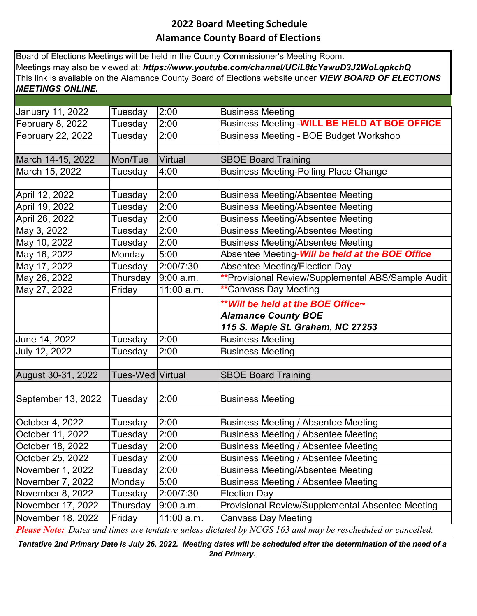## **2022 Board Meeting Schedule Alamance County Board of Elections**

Board of Elections Meetings will be held in the County Commissioner's Meeting Room. Meetings may also be viewed at: *https://www.youtube.com/channel/UCiL8tcYawuD3J2WoLqpkchQ*  This link is available on the Alamance County Board of Elections website under *VIEW BOARD OF ELECTIONS MEETINGS ONLINE.*

| January 11, 2022   | Tuesday          | 2:00              | <b>Business Meeting</b>                                                                                            |
|--------------------|------------------|-------------------|--------------------------------------------------------------------------------------------------------------------|
| February 8, 2022   | Tuesday          | 2:00              | <b>Business Meeting - WILL BE HELD AT BOE OFFICE</b>                                                               |
| February 22, 2022  | Tuesday          | 2:00              | <b>Business Meeting - BOE Budget Workshop</b>                                                                      |
|                    |                  |                   |                                                                                                                    |
| March 14-15, 2022  | Mon/Tue          | <b>Virtual</b>    | <b>SBOE Board Training</b>                                                                                         |
| March 15, 2022     | Tuesday          | 4:00              | <b>Business Meeting-Polling Place Change</b>                                                                       |
|                    |                  |                   |                                                                                                                    |
| April 12, 2022     | Tuesday          | 2:00              | <b>Business Meeting/Absentee Meeting</b>                                                                           |
| April 19, 2022     | Tuesday          | 2:00              | <b>Business Meeting/Absentee Meeting</b>                                                                           |
| April 26, 2022     | Tuesday          | 2:00              | <b>Business Meeting/Absentee Meeting</b>                                                                           |
| May 3, 2022        | Tuesday          | 2:00              | <b>Business Meeting/Absentee Meeting</b>                                                                           |
| May 10, 2022       | Tuesday          | 2:00              | <b>Business Meeting/Absentee Meeting</b>                                                                           |
| May 16, 2022       | Monday           | 5:00              | Absentee Meeting-Will be held at the BOE Office                                                                    |
| May 17, 2022       | Tuesday          | 2:00/7:30         | <b>Absentee Meeting/Election Day</b>                                                                               |
| May 26, 2022       | Thursday         | 9:00 a.m.         | **Provisional Review/Supplemental ABS/Sample Audit                                                                 |
| May 27, 2022       | Friday           | 11:00 a.m.        | <b>**Canvass Day Meeting</b>                                                                                       |
|                    |                  |                   | ** Will be held at the BOE Office~                                                                                 |
|                    |                  |                   | <b>Alamance County BOE</b>                                                                                         |
|                    |                  |                   | 115 S. Maple St. Graham, NC 27253                                                                                  |
| June 14, 2022      | Tuesday          | 2:00              | <b>Business Meeting</b>                                                                                            |
| July 12, 2022      | Tuesday          | 2:00              | <b>Business Meeting</b>                                                                                            |
|                    |                  |                   |                                                                                                                    |
| August 30-31, 2022 | Tues-Wed Virtual |                   | <b>SBOE Board Training</b>                                                                                         |
|                    |                  |                   |                                                                                                                    |
| September 13, 2022 | Tuesday          | 2:00              | <b>Business Meeting</b>                                                                                            |
|                    |                  |                   |                                                                                                                    |
| October 4, 2022    | Tuesday          | 2:00              | Business Meeting / Absentee Meeting                                                                                |
| October 11, 2022   | Tuesday          | 2:00              | <b>Business Meeting / Absentee Meeting</b>                                                                         |
| October 18, 2022   | Tuesday          | $\overline{2:}00$ | <b>Business Meeting / Absentee Meeting</b>                                                                         |
| October 25, 2022   | Tuesday          | 2:00              | Business Meeting / Absentee Meeting                                                                                |
| November 1, 2022   | Tuesday          | 2:00              | <b>Business Meeting/Absentee Meeting</b>                                                                           |
| November 7, 2022   | Monday           | 5:00              | Business Meeting / Absentee Meeting                                                                                |
| November 8, 2022   | Tuesday          | 2:00/7:30         | <b>Election Day</b>                                                                                                |
| November 17, 2022  | Thursday         | 9:00 a.m.         | <b>Provisional Review/Supplemental Absentee Meeting</b>                                                            |
| November 18, 2022  | Friday           | 11:00 a.m.        | Canvass Day Meeting                                                                                                |
|                    |                  |                   | <b>Please Note:</b> Dates and times are tentative unless dictated by NCGS 163 and may be rescheduled or cancelled. |

*Tentative 2nd Primary Date is July 26, 2022. Meeting dates will be scheduled after the determination of the need of a 2nd Primary.*